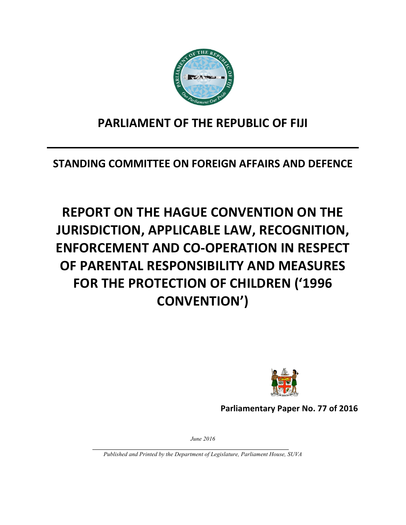

## **PARLIAMENT OF THE REPUBLIC OF FIJI**

**STANDING COMMITTEE ON FOREIGN AFFAIRS AND DEFENCE** 

## **REPORT ON THE HAGUE CONVENTION ON THE JURISDICTION, APPLICABLE LAW, RECOGNITION, ENFORCEMENT AND CO-OPERATION IN RESPECT OF PARENTAL RESPONSIBILITY AND MEASURES FOR THE PROTECTION OF CHILDREN ('1996 CONVENTION')**



**Parliamentary Paper No. 77 of 2016**

*June 2016*

*Published and Printed by the Department of Legislature, Parliament House, SUVA*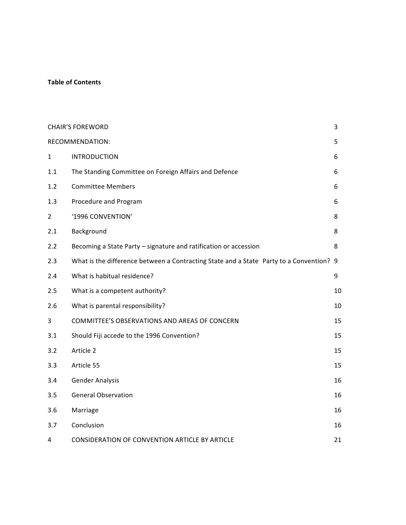#### **Table of Contents**

| <b>CHAIR'S FOREWORD</b><br>3 |                                                                                         |    |  |
|------------------------------|-----------------------------------------------------------------------------------------|----|--|
| RECOMMENDATION:<br>5         |                                                                                         |    |  |
| $\mathbf{1}$                 | <b>INTRODUCTION</b>                                                                     | 6  |  |
| 1.1                          | The Standing Committee on Foreign Affairs and Defence                                   | 6  |  |
| 1.2                          | <b>Committee Members</b>                                                                | 6  |  |
| 1.3                          | Procedure and Program                                                                   | 6  |  |
| $\overline{2}$               | '1996 CONVENTION'                                                                       | 8  |  |
| 2.1                          | Background                                                                              | 8  |  |
| 2.2                          | Becoming a State Party - signature and ratification or accession                        | 8  |  |
| 2.3                          | What is the difference between a Contracting State and a State Party to a Convention? 9 |    |  |
| 2.4                          | What is habitual residence?                                                             | 9  |  |
| 2.5                          | What is a competent authority?                                                          | 10 |  |
| 2.6                          | What is parental responsibility?                                                        | 10 |  |
| 3                            | COMMITTEE'S OBSERVATIONS AND AREAS OF CONCERN                                           | 15 |  |
| 3.1                          | Should Fiji accede to the 1996 Convention?                                              | 15 |  |
| 3.2                          | Article 2                                                                               | 15 |  |
| 3.3                          | Article 55                                                                              | 15 |  |
| 3.4                          | <b>Gender Analysis</b>                                                                  | 16 |  |
| 3.5                          | <b>General Observation</b>                                                              | 16 |  |
| 3.6                          | Marriage                                                                                | 16 |  |
| 3.7                          | Conclusion                                                                              | 16 |  |
| 4                            | CONSIDERATION OF CONVENTION ARTICLE BY ARTICLE                                          | 21 |  |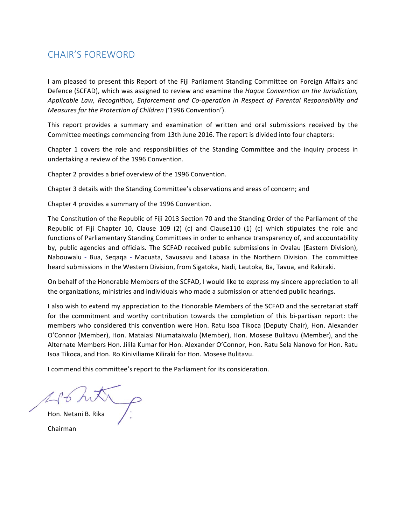## CHAIR'S FOREWORD

I am pleased to present this Report of the Fiji Parliament Standing Committee on Foreign Affairs and Defence (SCFAD), which was assigned to review and examine the *Hague Convention on the Jurisdiction*, Applicable Law, Recognition, Enforcement and Co-operation in Respect of Parental Responsibility and *Measures for the Protection of Children* ('1996 Convention').

This report provides a summary and examination of written and oral submissions received by the Committee meetings commencing from 13th June 2016. The report is divided into four chapters:

Chapter 1 covers the role and responsibilities of the Standing Committee and the inquiry process in undertaking a review of the 1996 Convention.

Chapter 2 provides a brief overview of the 1996 Convention.

Chapter 3 details with the Standing Committee's observations and areas of concern; and

Chapter 4 provides a summary of the 1996 Convention.

The Constitution of the Republic of Fiji 2013 Section 70 and the Standing Order of the Parliament of the Republic of Fiji Chapter 10, Clause 109 (2) (c) and Clause110 (1) (c) which stipulates the role and functions of Parliamentary Standing Committees in order to enhance transparency of, and accountability by, public agencies and officials. The SCFAD received public submissions in Ovalau (Eastern Division), Nabouwalu - Bua, Segaga - Macuata, Savusavu and Labasa in the Northern Division. The committee heard submissions in the Western Division, from Sigatoka, Nadi, Lautoka, Ba, Tavua, and Rakiraki.

On behalf of the Honorable Members of the SCFAD, I would like to express my sincere appreciation to all the organizations, ministries and individuals who made a submission or attended public hearings.

I also wish to extend my appreciation to the Honorable Members of the SCFAD and the secretariat staff for the commitment and worthy contribution towards the completion of this bi-partisan report: the members who considered this convention were Hon. Ratu Isoa Tikoca (Deputy Chair), Hon. Alexander O'Connor (Member), Hon. Mataiasi Niumataiwalu (Member), Hon. Mosese Bulitavu (Member), and the Alternate Members Hon. Jilila Kumar for Hon. Alexander O'Connor, Hon. Ratu Sela Nanovo for Hon. Ratu Isoa Tikoca, and Hon. Ro Kiniviliame Kiliraki for Hon. Mosese Bulitavu.

I commend this committee's report to the Parliament for its consideration.

Hon. Netani B. Rika Chairman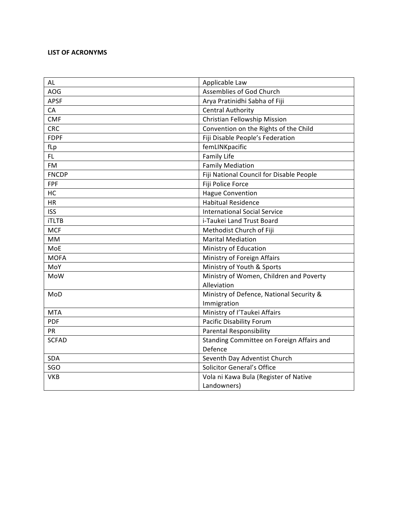#### **LIST OF ACRONYMS**

| <b>AL</b>    | Applicable Law                            |
|--------------|-------------------------------------------|
| <b>AOG</b>   | Assemblies of God Church                  |
| <b>APSF</b>  | Arya Pratinidhi Sabha of Fiji             |
| CA           | <b>Central Authority</b>                  |
| <b>CMF</b>   | Christian Fellowship Mission              |
| <b>CRC</b>   | Convention on the Rights of the Child     |
| <b>FDPF</b>  | Fiji Disable People's Federation          |
| fLp          | femLINKpacific                            |
| FL.          | <b>Family Life</b>                        |
| <b>FM</b>    | <b>Family Mediation</b>                   |
| <b>FNCDP</b> | Fiji National Council for Disable People  |
| <b>FPF</b>   | Fiji Police Force                         |
| HC           | <b>Hague Convention</b>                   |
| <b>HR</b>    | <b>Habitual Residence</b>                 |
| <b>ISS</b>   | <b>International Social Service</b>       |
| <b>iTLTB</b> | i-Taukei Land Trust Board                 |
| <b>MCF</b>   | Methodist Church of Fiji                  |
| <b>MM</b>    | <b>Marital Mediation</b>                  |
| MoE          | Ministry of Education                     |
| <b>MOFA</b>  | Ministry of Foreign Affairs               |
| MoY          | Ministry of Youth & Sports                |
| <b>MoW</b>   | Ministry of Women, Children and Poverty   |
|              | Alleviation                               |
| MoD          | Ministry of Defence, National Security &  |
|              | Immigration                               |
| <b>MTA</b>   | Ministry of l'Taukei Affairs              |
| <b>PDF</b>   | <b>Pacific Disability Forum</b>           |
| <b>PR</b>    | <b>Parental Responsibility</b>            |
| <b>SCFAD</b> | Standing Committee on Foreign Affairs and |
|              | Defence                                   |
| <b>SDA</b>   | Seventh Day Adventist Church              |
| SGO          | Solicitor General's Office                |
| <b>VKB</b>   | Vola ni Kawa Bula (Register of Native     |
|              | Landowners)                               |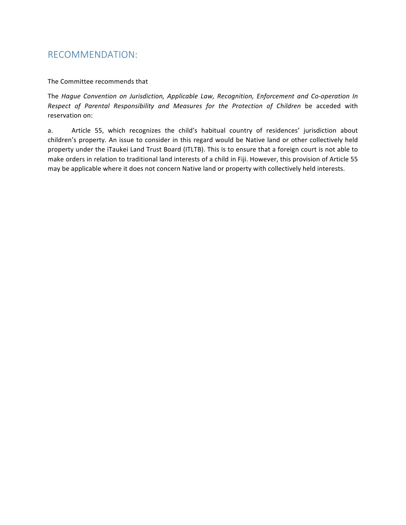### RECOMMENDATION:

#### The Committee recommends that

The *Hague Convention on Jurisdiction, Applicable Law, Recognition, Enforcement and Co-operation In* Respect of Parental Responsibility and Measures for the Protection of Children be acceded with reservation on:

a. Article 55, which recognizes the child's habitual country of residences' jurisdiction about children's property. An issue to consider in this regard would be Native land or other collectively held property under the iTaukei Land Trust Board (ITLTB). This is to ensure that a foreign court is not able to make orders in relation to traditional land interests of a child in Fiji. However, this provision of Article 55 may be applicable where it does not concern Native land or property with collectively held interests.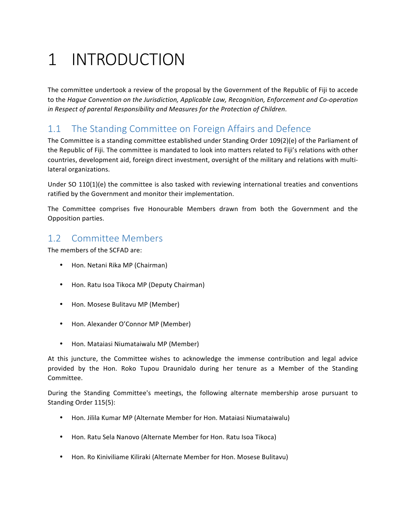## 1 INTRODUCTION

The committee undertook a review of the proposal by the Government of the Republic of Fiji to accede to the *Hague Convention on the Jurisdiction, Applicable Law, Recognition, Enforcement and Co-operation* in Respect of parental Responsibility and Measures for the Protection of Children.

## 1.1 The Standing Committee on Foreign Affairs and Defence

The Committee is a standing committee established under Standing Order  $109(2)(e)$  of the Parliament of the Republic of Fiji. The committee is mandated to look into matters related to Fiji's relations with other countries, development aid, foreign direct investment, oversight of the military and relations with multilateral organizations.

Under SO  $110(1)(e)$  the committee is also tasked with reviewing international treaties and conventions ratified by the Government and monitor their implementation.

The Committee comprises five Honourable Members drawn from both the Government and the Opposition parties.

## 1.2 Committee Members

The members of the SCFAD are:

- Hon. Netani Rika MP (Chairman)
- Hon. Ratu Isoa Tikoca MP (Deputy Chairman)
- Hon. Mosese Bulitavu MP (Member)
- Hon. Alexander O'Connor MP (Member)
- Hon. Mataiasi Niumataiwalu MP (Member)

At this juncture, the Committee wishes to acknowledge the immense contribution and legal advice provided by the Hon. Roko Tupou Draunidalo during her tenure as a Member of the Standing Committee.

During the Standing Committee's meetings, the following alternate membership arose pursuant to Standing Order 115(5):

- Hon. Jilila Kumar MP (Alternate Member for Hon. Mataiasi Niumataiwalu)
- Hon. Ratu Sela Nanovo (Alternate Member for Hon. Ratu Isoa Tikoca)
- Hon. Ro Kiniviliame Kiliraki (Alternate Member for Hon. Mosese Bulitavu)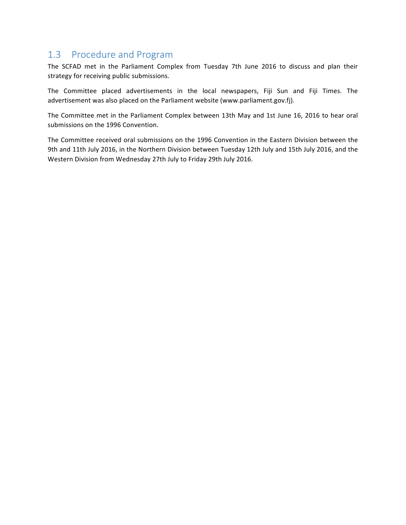## 1.3 Procedure and Program

The SCFAD met in the Parliament Complex from Tuesday 7th June 2016 to discuss and plan their strategy for receiving public submissions.

The Committee placed advertisements in the local newspapers, Fiji Sun and Fiji Times. The advertisement was also placed on the Parliament website (www.parliament.gov.fj).

The Committee met in the Parliament Complex between 13th May and 1st June 16, 2016 to hear oral submissions on the 1996 Convention.

The Committee received oral submissions on the 1996 Convention in the Eastern Division between the 9th and 11th July 2016, in the Northern Division between Tuesday 12th July and 15th July 2016, and the Western Division from Wednesday 27th July to Friday 29th July 2016.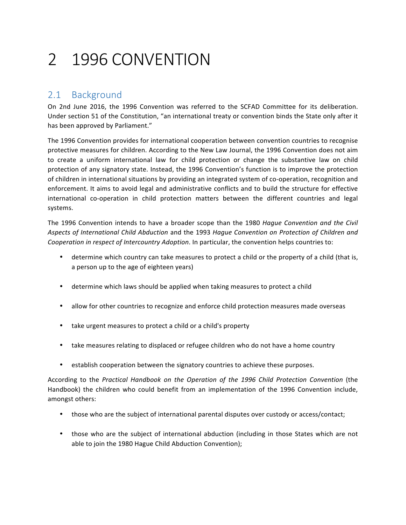## 2 1996 CONVENTION

### 2.1 Background

On 2nd June 2016, the 1996 Convention was referred to the SCFAD Committee for its deliberation. Under section 51 of the Constitution, "an international treaty or convention binds the State only after it has been approved by Parliament."

The 1996 Convention provides for international cooperation between convention countries to recognise protective measures for children. According to the New Law Journal, the 1996 Convention does not aim to create a uniform international law for child protection or change the substantive law on child protection of any signatory state. Instead, the 1996 Convention's function is to improve the protection of children in international situations by providing an integrated system of co-operation, recognition and enforcement. It aims to avoid legal and administrative conflicts and to build the structure for effective international co-operation in child protection matters between the different countries and legal systems. 

The 1996 Convention intends to have a broader scope than the 1980 *Hague Convention and the Civil* Aspects of International Child Abduction and the 1993 Hague Convention on Protection of Children and *Cooperation in respect of Intercountry Adoption*. In particular, the convention helps countries to:

- determine which country can take measures to protect a child or the property of a child (that is, a person up to the age of eighteen years)
- determine which laws should be applied when taking measures to protect a child
- allow for other countries to recognize and enforce child protection measures made overseas
- take urgent measures to protect a child or a child's property
- take measures relating to displaced or refugee children who do not have a home country
- establish cooperation between the signatory countries to achieve these purposes.

According to the Practical Handbook on the Operation of the 1996 Child Protection Convention (the Handbook) the children who could benefit from an implementation of the 1996 Convention include, amongst others:

- those who are the subject of international parental disputes over custody or access/contact;
- those who are the subject of international abduction (including in those States which are not able to join the 1980 Hague Child Abduction Convention);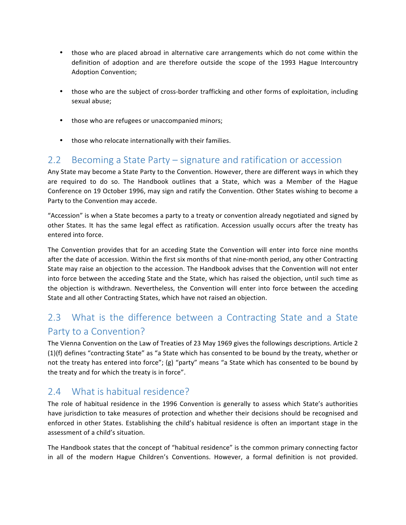- those who are placed abroad in alternative care arrangements which do not come within the definition of adoption and are therefore outside the scope of the 1993 Hague Intercountry Adoption Convention;
- those who are the subject of cross-border trafficking and other forms of exploitation, including sexual abuse;
- those who are refugees or unaccompanied minors;
- those who relocate internationally with their families.

### 2.2 Becoming a State Party – signature and ratification or accession

Any State may become a State Party to the Convention. However, there are different ways in which they are required to do so. The Handbook outlines that a State, which was a Member of the Hague Conference on 19 October 1996, may sign and ratify the Convention. Other States wishing to become a Party to the Convention may accede.

"Accession" is when a State becomes a party to a treaty or convention already negotiated and signed by other States. It has the same legal effect as ratification. Accession usually occurs after the treaty has entered into force.

The Convention provides that for an acceding State the Convention will enter into force nine months after the date of accession. Within the first six months of that nine-month period, any other Contracting State may raise an objection to the accession. The Handbook advises that the Convention will not enter into force between the acceding State and the State, which has raised the objection, until such time as the objection is withdrawn. Nevertheless, the Convention will enter into force between the acceding State and all other Contracting States, which have not raised an objection.

## 2.3 What is the difference between a Contracting State and a State Party to a Convention?

The Vienna Convention on the Law of Treaties of 23 May 1969 gives the followings descriptions. Article 2  $(1)(f)$  defines "contracting State" as "a State which has consented to be bound by the treaty, whether or not the treaty has entered into force"; (g) "party" means "a State which has consented to be bound by the treaty and for which the treaty is in force".

## $2.4$  What is habitual residence?

The role of habitual residence in the 1996 Convention is generally to assess which State's authorities have jurisdiction to take measures of protection and whether their decisions should be recognised and enforced in other States. Establishing the child's habitual residence is often an important stage in the assessment of a child's situation.

The Handbook states that the concept of "habitual residence" is the common primary connecting factor in all of the modern Hague Children's Conventions. However, a formal definition is not provided.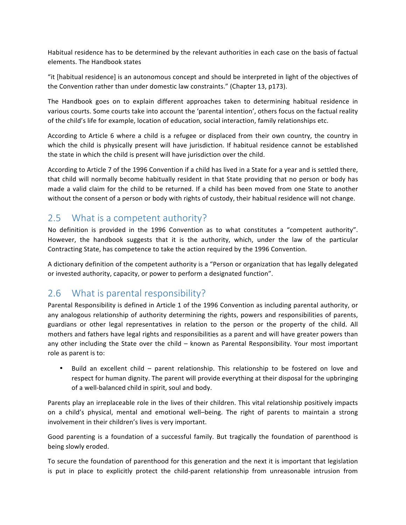Habitual residence has to be determined by the relevant authorities in each case on the basis of factual elements. The Handbook states

"it [habitual residence] is an autonomous concept and should be interpreted in light of the objectives of the Convention rather than under domestic law constraints." (Chapter 13, p173).

The Handbook goes on to explain different approaches taken to determining habitual residence in various courts. Some courts take into account the 'parental intention', others focus on the factual reality of the child's life for example, location of education, social interaction, family relationships etc.

According to Article 6 where a child is a refugee or displaced from their own country, the country in which the child is physically present will have jurisdiction. If habitual residence cannot be established the state in which the child is present will have jurisdiction over the child.

According to Article 7 of the 1996 Convention if a child has lived in a State for a year and is settled there, that child will normally become habitually resident in that State providing that no person or body has made a valid claim for the child to be returned. If a child has been moved from one State to another without the consent of a person or body with rights of custody, their habitual residence will not change.

## 2.5 What is a competent authority?

No definition is provided in the 1996 Convention as to what constitutes a "competent authority". However, the handbook suggests that it is the authority, which, under the law of the particular Contracting State, has competence to take the action required by the 1996 Convention.

A dictionary definition of the competent authority is a "Person or organization that has legally delegated or invested authority, capacity, or power to perform a designated function".

### 2.6 What is parental responsibility?

Parental Responsibility is defined in Article 1 of the 1996 Convention as including parental authority, or any analogous relationship of authority determining the rights, powers and responsibilities of parents, guardians or other legal representatives in relation to the person or the property of the child. All mothers and fathers have legal rights and responsibilities as a parent and will have greater powers than any other including the State over the child  $-$  known as Parental Responsibility. Your most important role as parent is to:

Build an excellent child – parent relationship. This relationship to be fostered on love and respect for human dignity. The parent will provide everything at their disposal for the upbringing of a well-balanced child in spirit, soul and body.

Parents play an irreplaceable role in the lives of their children. This vital relationship positively impacts on a child's physical, mental and emotional well-being. The right of parents to maintain a strong involvement in their children's lives is very important.

Good parenting is a foundation of a successful family. But tragically the foundation of parenthood is being slowly eroded.

To secure the foundation of parenthood for this generation and the next it is important that legislation is put in place to explicitly protect the child-parent relationship from unreasonable intrusion from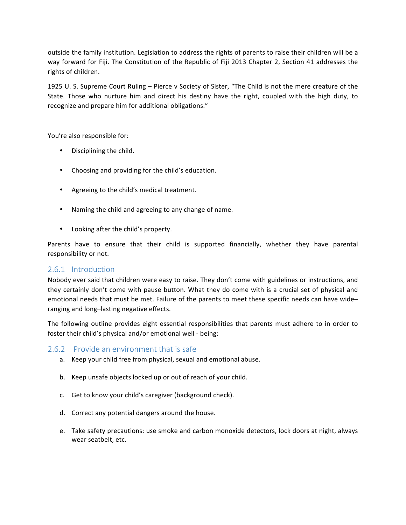outside the family institution. Legislation to address the rights of parents to raise their children will be a way forward for Fiji. The Constitution of the Republic of Fiji 2013 Chapter 2, Section 41 addresses the rights of children.

1925 U. S. Supreme Court Ruling – Pierce v Society of Sister, "The Child is not the mere creature of the State. Those who nurture him and direct his destiny have the right, coupled with the high duty, to recognize and prepare him for additional obligations."

You're also responsible for:

- Disciplining the child.
- Choosing and providing for the child's education.
- Agreeing to the child's medical treatment.
- Naming the child and agreeing to any change of name.
- Looking after the child's property.

Parents have to ensure that their child is supported financially, whether they have parental responsibility or not.

#### 2.6.1 Introduction

Nobody ever said that children were easy to raise. They don't come with guidelines or instructions, and they certainly don't come with pause button. What they do come with is a crucial set of physical and emotional needs that must be met. Failure of the parents to meet these specific needs can have wideranging and long-lasting negative effects.

The following outline provides eight essential responsibilities that parents must adhere to in order to foster their child's physical and/or emotional well - being:

#### 2.6.2 Provide an environment that is safe

- a. Keep your child free from physical, sexual and emotional abuse.
- b. Keep unsafe objects locked up or out of reach of your child.
- c. Get to know your child's caregiver (background check).
- d. Correct any potential dangers around the house.
- e. Take safety precautions: use smoke and carbon monoxide detectors, lock doors at night, always wear seatbelt, etc.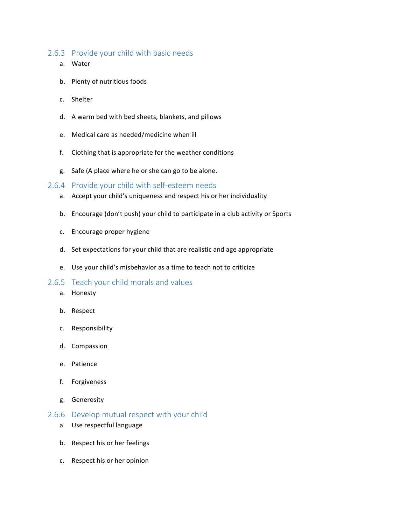#### 2.6.3 Provide your child with basic needs

- a. Water
- b. Plenty of nutritious foods
- c. Shelter
- d. A warm bed with bed sheets, blankets, and pillows
- e. Medical care as needed/medicine when ill
- f. Clothing that is appropriate for the weather conditions
- g. Safe (A place where he or she can go to be alone.

#### 2.6.4 Provide your child with self-esteem needs

- a. Accept your child's uniqueness and respect his or her individuality
- b. Encourage (don't push) your child to participate in a club activity or Sports
- c. Encourage proper hygiene
- d. Set expectations for your child that are realistic and age appropriate
- e. Use your child's misbehavior as a time to teach not to criticize

#### 2.6.5 Teach your child morals and values

- a. Honesty
- b. Respect
- c. Responsibility
- d. Compassion
- e. Patience
- f. Forgiveness
- g. Generosity
- 2.6.6 Develop mutual respect with your child
	- a. Use respectful language
	- b. Respect his or her feelings
	- c. Respect his or her opinion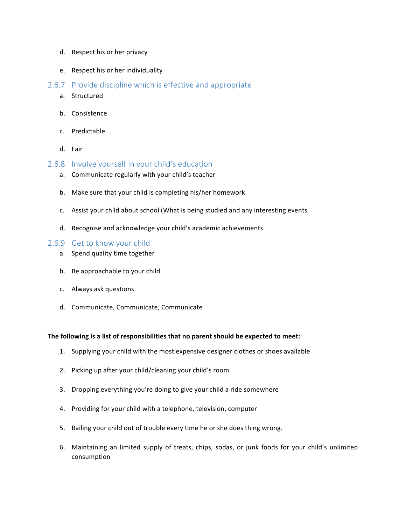- d. Respect his or her privacy
- e. Respect his or her individuality
- 2.6.7 Provide discipline which is effective and appropriate
	- a. Structured
	- b. Consistence
	- c. Predictable
	- d. Fair
- 2.6.8 Involve yourself in your child's education
	- a. Communicate regularly with your child's teacher
	- b. Make sure that your child is completing his/her homework
	- c. Assist your child about school (What is being studied and any interesting events
	- d. Recognise and acknowledge your child's academic achievements

#### 2.6.9 Get to know your child

- a. Spend quality time together
- b. Be approachable to your child
- c. Always ask questions
- d. Communicate, Communicate, Communicate

#### The following is a list of responsibilities that no parent should be expected to meet:

- 1. Supplying your child with the most expensive designer clothes or shoes available
- 2. Picking up after your child/cleaning your child's room
- 3. Dropping everything you're doing to give your child a ride somewhere
- 4. Providing for your child with a telephone, television, computer
- 5. Bailing your child out of trouble every time he or she does thing wrong.
- 6. Maintaining an limited supply of treats, chips, sodas, or junk foods for your child's unlimited consumption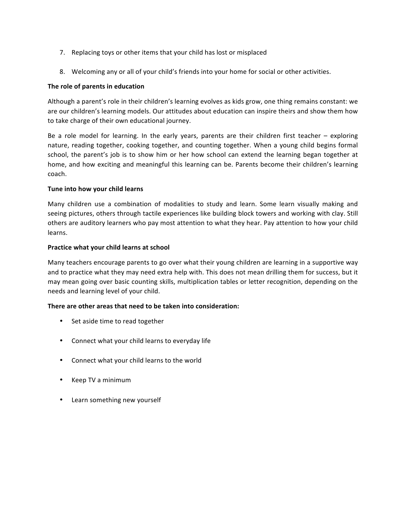- 7. Replacing toys or other items that your child has lost or misplaced
- 8. Welcoming any or all of your child's friends into your home for social or other activities.

#### The role of parents in education

Although a parent's role in their children's learning evolves as kids grow, one thing remains constant: we are our children's learning models. Our attitudes about education can inspire theirs and show them how to take charge of their own educational journey.

Be a role model for learning. In the early years, parents are their children first teacher  $-$  exploring nature, reading together, cooking together, and counting together. When a young child begins formal school, the parent's job is to show him or her how school can extend the learning began together at home, and how exciting and meaningful this learning can be. Parents become their children's learning coach. 

#### Tune into how your child learns

Many children use a combination of modalities to study and learn. Some learn visually making and seeing pictures, others through tactile experiences like building block towers and working with clay. Still others are auditory learners who pay most attention to what they hear. Pay attention to how your child learns. 

#### **Practice what your child learns at school**

Many teachers encourage parents to go over what their young children are learning in a supportive way and to practice what they may need extra help with. This does not mean drilling them for success, but it may mean going over basic counting skills, multiplication tables or letter recognition, depending on the needs and learning level of your child.

#### **There are other areas that need to be taken into consideration:**

- Set aside time to read together
- Connect what your child learns to everyday life
- Connect what your child learns to the world
- Keep TV a minimum
- Learn something new yourself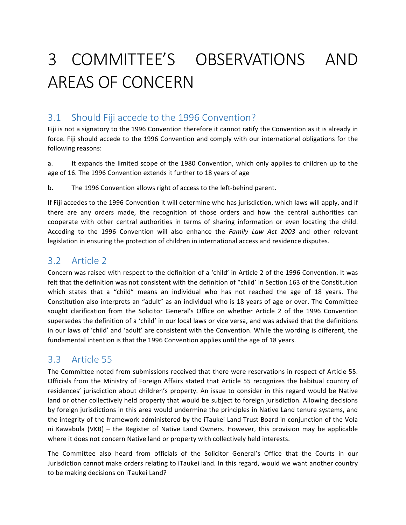# 3 COMMITTEE'S OBSERVATIONS AND AREAS OF CONCERN

## 3.1 Should Fiji accede to the 1996 Convention?

Fiji is not a signatory to the 1996 Convention therefore it cannot ratify the Convention as it is already in force. Fiji should accede to the 1996 Convention and comply with our international obligations for the following reasons:

a. It expands the limited scope of the 1980 Convention, which only applies to children up to the age of 16. The 1996 Convention extends it further to 18 years of age

b. The 1996 Convention allows right of access to the left-behind parent.

If Fiji accedes to the 1996 Convention it will determine who has jurisdiction, which laws will apply, and if there are any orders made, the recognition of those orders and how the central authorities can cooperate with other central authorities in terms of sharing information or even locating the child. Acceding to the 1996 Convention will also enhance the *Family Law Act 2003* and other relevant legislation in ensuring the protection of children in international access and residence disputes.

## 3.2 Article 2

Concern was raised with respect to the definition of a 'child' in Article 2 of the 1996 Convention. It was felt that the definition was not consistent with the definition of "child' in Section 163 of the Constitution which states that a "child" means an individual who has not reached the age of 18 years. The Constitution also interprets an "adult" as an individual who is 18 years of age or over. The Committee sought clarification from the Solicitor General's Office on whether Article 2 of the 1996 Convention supersedes the definition of a 'child' in our local laws or vice versa, and was advised that the definitions in our laws of 'child' and 'adult' are consistent with the Convention. While the wording is different, the fundamental intention is that the 1996 Convention applies until the age of 18 years.

## 3.3 Article 55

The Committee noted from submissions received that there were reservations in respect of Article 55. Officials from the Ministry of Foreign Affairs stated that Article 55 recognizes the habitual country of residences' jurisdiction about children's property. An issue to consider in this regard would be Native land or other collectively held property that would be subject to foreign jurisdiction. Allowing decisions by foreign jurisdictions in this area would undermine the principles in Native Land tenure systems, and the integrity of the framework administered by the iTaukei Land Trust Board in conjunction of the Vola ni Kawabula (VKB) – the Register of Native Land Owners. However, this provision may be applicable where it does not concern Native land or property with collectively held interests.

The Committee also heard from officials of the Solicitor General's Office that the Courts in our Jurisdiction cannot make orders relating to iTaukei land. In this regard, would we want another country to be making decisions on iTaukei Land?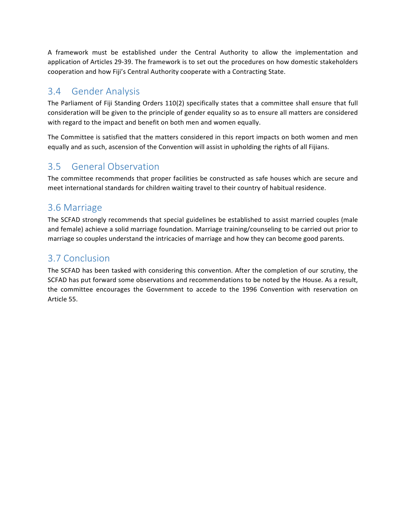A framework must be established under the Central Authority to allow the implementation and application of Articles 29-39. The framework is to set out the procedures on how domestic stakeholders cooperation and how Fiji's Central Authority cooperate with a Contracting State.

## 3.4 Gender Analysis

The Parliament of Fiji Standing Orders 110(2) specifically states that a committee shall ensure that full consideration will be given to the principle of gender equality so as to ensure all matters are considered with regard to the impact and benefit on both men and women equally.

The Committee is satisfied that the matters considered in this report impacts on both women and men equally and as such, ascension of the Convention will assist in upholding the rights of all Fijians.

## 3.5 General Observation

The committee recommends that proper facilities be constructed as safe houses which are secure and meet international standards for children waiting travel to their country of habitual residence.

## 3.6 Marriage

The SCFAD strongly recommends that special guidelines be established to assist married couples (male and female) achieve a solid marriage foundation. Marriage training/counseling to be carried out prior to marriage so couples understand the intricacies of marriage and how they can become good parents.

## 3.7 Conclusion

The SCFAD has been tasked with considering this convention. After the completion of our scrutiny, the SCFAD has put forward some observations and recommendations to be noted by the House. As a result, the committee encourages the Government to accede to the 1996 Convention with reservation on Article 55.